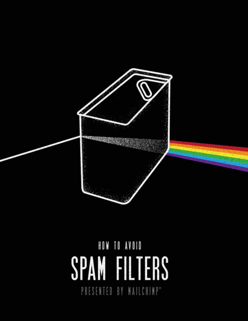

# HOW TO AVOID SPAM FILTERS PRESENTED BY MAILCHIMP®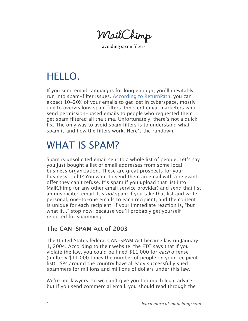MailChimp

avoiding spam filters

# HELLO.

If you send email campaigns for long enough, you'll inevitably run into spam-filter issues. [According to ReturnPath,](http://www.returnpath.net/downloads/resources/NOAM_deliverability_study.pdf) you can expect 10-20% of your emails to get lost in cyberspace, mostly due to overzealous spam filters. Innocent email marketers who send permission-based emails to people who requested them get spam filtered all the time. Unfortunately, there's not a quick fix. The only way to avoid spam filters is to understand what spam is and how the filters work. Here's the rundown.

# WHAT IS SPAM?

Spam is unsolicited email sent to a whole list of people. Let's say you just bought a list of email addresses from some local business organization. These are great prospects for your business, right? You want to send them an email with a relevant offer they can't refuse. It's spam if you upload that list into MailChimp (or any other email service provider) and send that list an unsolicited email. It's not spam if you take that list and write personal, one-to-one emails to each recipient, and the content is unique for each recipient. If your immediate reaction is, "but what if..." stop now, because you'll probably get yourself reported for spamming.

### **The CAN-SPAM Act of 2003**

The United States federal CAN-SPAM Act became law on January 1, 2004. According to their website, the FTC says that if you violate the law, you could be fined \$11,000 for each offense (multiply \$11,000 times the number of people on your recipient list). ISPs around the country have already successfully sued spammers for millions and millions of dollars under this law.

We're not lawyers, so we can't give you too much legal advice, but if you send commercial email, you should read through the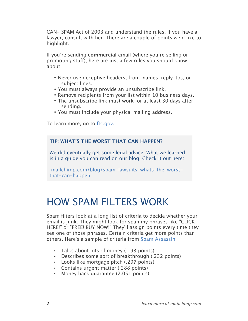CAN- SPAM Act of 2003 and understand the rules. If you have a lawyer, consult with her. There are a couple of points we'd like to highlight.

If you're sending **commercial** email (where you're selling or promoting stuff), here are just a few rules you should know about:

- Never use deceptive headers, from-names, reply-tos, or subject lines.
- You must always provide an unsubscribe link.
- Remove recipients from your list within 10 business days.
- The unsubscribe link must work for at least 30 days after sending.
- You must include your physical mailing address.

To learn more, go to [ftc.gov.](http://www.ftc.gov/bcp/edu/pubs/business/ecommerce/bus61.shtm)

#### **TIP: WHAT'S THE WORST THAT CAN HAPPEN?**

We did eventually get some legal advice. What we learned is in a guide you can read on our blog. Check it out here:

 [mailchimp.com/blog/spam-lawsuits-whats-the-worst](http://www.mailchimp.com/blog/spam-lawsuits-whats-the-worst-that-can-happen/)that-can-happen

## HOW SPAM FILTERS WORK

Spam filters look at a long list of criteria to decide whether your email is junk. They might look for spammy phrases like "CLICK HERE!" or "FREE! BUY NOW!" They'll assign points every time they see one of those phrases. Certain criteria get more points than others. Here's a sample of criteria from [Spam Assassin](http://spamassassin.apache.org/tests_3_0_x.html):

- Talks about lots of money (.193 points)
- Describes some sort of breakthrough (.232 points)
- Looks like mortgage pitch (.297 points)
- Contains urgent matter (.288 points)
- Money back guarantee (2.051 points)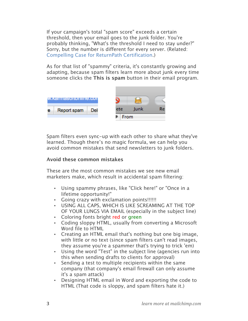If your campaign's total "spam score" exceeds a certain threshold, then your email goes to the junk folder. You're probably thinking, "What's the threshold I need to stay under?" Sorry, but the number is different for every server. (Related: [Compelling Case for ReturnPath Certification.](http://www.mailchimp.com/blog/compelling-case-for-senderscore-certification/))

As for that list of "spammy" criteria, it's constantly growing and adapting, because spam filters learn more about junk every time someone clicks the **This is spam** button in their email program.



Spam filters even sync-up with each other to share what they've learned. Though there's no magic formula, we can help you avoid common mistakes that send newsletters to junk folders.

#### **Avoid these common mistakes**

These are the most common mistakes we see new email marketers make, which result in accidental spam filtering:

- Using spammy phrases, like "Click here!" or "Once in a lifetime opportunity!"
- Going crazy with exclamation points!!!!!!
- USING ALL CAPS, WHICH IS LIKE SCREAMING AT THE TOP OF YOUR LUNGS VIA EMAIL (especially in the subject line)
- Coloring fonts bright red or green
- Coding sloppy HTML, usually from converting a Microsoft Word file to HTML
- Creating an HTML email that's nothing but one big image, with little or no text (since spam filters can't read images, they assume you're a spammer that's trying to trick 'em)
- Using the word "Test" in the subject line (agencies run into this when sending drafts to clients for approval)
- Sending a test to multiple recipients within the same company (that company's email firewall can only assume it's a spam attack)
- Designing HTML email in Word and exporting the code to HTML (That code is sloppy, and spam filters hate it.)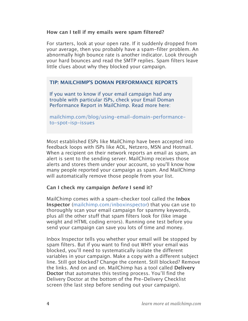#### **How can I tell if my emails were spam filtered?**

For starters, look at your open rate. If it suddenly dropped from your average, then you probably have a spam-filter problem. An abnormally high bounce rate is another indicator. Look through your hard bounces and read the SMTP replies. Spam filters leave little clues about why they blocked your campaign.

#### **TIP: MAILCHIMP'S DOMAN PERFORMANCE REPORTS**

If you want to know if your email campaign had any trouble with particular ISPs, check your Email Doman Performance Report in MailChimp. Read more here:

[mailchimp.com/blog/using-email-domain-performance](http://www.mailchimp.com/blog/using-email-domain-performance-to-spot-isp-issues/)to-spot-isp-issues

Most established ESPs like MailChimp have been accepted into feedback loops with ISPs like AOL, Netzero, MSN and Hotmail. When a recipient on their network reports an email as spam, an alert is sent to the sending server. MailChimp receives those alerts and stores them under your account, so you'll know how many people reported your campaign as spam. And MailChimp will automatically remove those people from your list.

#### **Can I check my campaign before I send it?**

MailChimp comes with a spam-checker tool called the **Inbox Inspector** [\(mailchimp.com/inboxinspector\)](http://www.mailchimp.com/features/power_features/inbox_inspector/) that you can use to thoroughly scan your email campaign for spammy keywords, plus all the other stuff that spam filters look for (like image weight and HTML coding errors). Running one test before you send your campaign can save you lots of time and money.

Inbox Inspector tells you whether your email will be stopped by spam filters. But if you want to find out WHY your email was blocked, you'll need to systematically isolate the different variables in your campaign. Make a copy with a different subject line. Still got blocked? Change the content. Still blocked? Remove the links. And on and on. MailChimp has a tool called **Delivery Doctor** that automates this testing process. You'll find the Delivery Doctor at the bottom of the Pre-Delivery Checklist screen (the last step before sending out your campaign).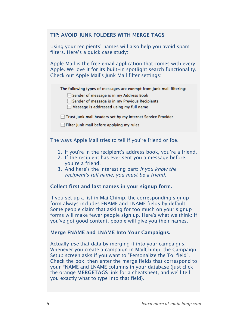#### **TIP: AVOID JUNK FOLDERS WITH MERGE TAGS**

Using your recipients' names will also help you avoid spam filters. Here's a quick case study:

Apple Mail is the free email application that comes with every Apple. We love it for its built-in spotlight search functionality. Check out Apple Mail's Junk Mail filter settings:

The following types of messages are exempt from junk mail filtering:

Sender of message is in my Address Book

Sender of message is in my Previous Recipients

 $\Box$  Message is addressed using my full name

Trust junk mail headers set by my Internet Service Provider

 $\Box$  Filter junk mail before applying my rules

The ways Apple Mail tries to tell if you're friend or foe.

- 1. If you're in the recipient's address book, you're a friend.
- 2. If the recipient has ever sent you a message before, you're a friend.
- 3. And here's the interesting part: If you know the recipient's full name, you must be a friend.

#### **Collect first and last names in your signup form.**

If you set up a list in MailChimp, the corresponding signup form always includes FNAME and LNAME fields by default. Some people claim that asking for too much on your signup forms will make fewer people sign up. Here's what we think: If you've got good content, people will give you their names.

#### **Merge FNAME and LNAME Into Your Campaigns.**

Actually use that data by merging it into your campaigns. Whenever you create a campaign in MailChimp, the Campaign Setup screen asks if you want to "Personalize the To: field". Check the box, then enter the merge fields that correspond to your FNAME and LNAME columns in your database (just click the orange **MERGETAGS** link for a cheatsheet, and we'll tell you exactly what to type into that field).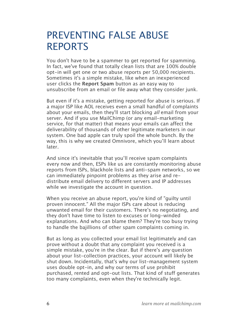# PREVENTING FALSE ABUSE REPORTS

You don't have to be a spammer to get reported for spamming. In fact, we've found that totally clean lists that are 100% double opt-in will get one or two abuse reports per 50,000 recipients. Sometimes it's a simple mistake, like when an inexperienced user clicks the **Report Spam** button as an easy way to unsubscribe from an email or file away what they consider junk.

But even if it's a mistake, getting reported for abuse is serious. If a major ISP like AOL receives even a small handful of complaints about your emails, then they'll start blocking all email from your server. And if you use MailChimp (or any email-marketing service, for that matter) that means your emails can affect the deliverability of thousands of other legitimate marketers in our system. One bad apple can truly spoil the whole bunch. By the way, this is why we created Omnivore, which you'll learn about later.

And since it's inevitable that you'll receive spam complaints every now and then, ESPs like us are constantly monitoring abuse reports from ISPs, blackhole lists and anti-spam networks, so we can immediately pinpoint problems as they arise and redistribute email delivery to different servers and IP addresses while we investigate the account in question.

When you receive an abuse report, you're kind of "guilty until proven innocent." All the major ISPs care about is reducing unwanted email for their customers. There's no negotiating, and they don't have time to listen to excuses or long-winded explanations. And who can blame them? They're too busy trying to handle the bajillions of other spam complaints coming in.

But as long as you collected your email list legitimately and can prove without a doubt that any complaint you received is a simple mistake, you're in the clear. But if there's *any* question about your list-collection practices, your account will likely be shut down. Incidentally, that's why our list-management system uses double opt-in, and why our terms of use prohibit purchased, rented and opt-out lists. That kind of stuff generates too many complaints, even when they're technically legit.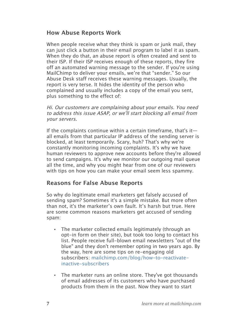### **How Abuse Reports Work**

When people receive what they think is spam or junk mail, they can just click a button in their email program to label it as spam. When they do that, an abuse report is often created and sent to their ISP. If their ISP receives enough of these reports, they fire off an automated warning message to the sender. If you're using MailChimp to deliver your emails, we're that "sender." So our Abuse Desk staff receives these warning messages. Usually, the report is very terse. It hides the identity of the person who complained and usually includes a copy of the email you sent, plus something to the effect of:

Hi. Our customers are complaining about your emails. You need to address this issue ASAP, or we'll start blocking all email from your servers.

If the complaints continue within a certain timeframe, that's it all emails from that particular IP address of the sending server is blocked, at least temporarily. Scary, huh? That's why we're constantly monitoring incoming complaints. It's why we have human reviewers to approve new accounts before they're allowed to send campaigns. It's why we monitor our outgoing mail queue all the time, and why you might hear from one of our reviewers with tips on how you can make your email seem less spammy.

### **Reasons for False Abuse Reports**

So why do legitimate email marketers get falsely accused of sending spam? Sometimes it's a simple mistake. But more often than not, it's the marketer's own fault. It's harsh but true. Here are some common reasons marketers get accused of sending spam:

- The marketer collected emails legitimately (through an opt-in form on their site), but took too long to contact his list. People receive full-blown email newsletters "out of the blue" and they don't remember opting in two years ago. By the way, here are some tips on re-engaging old subscribers: [mailchimp.com/blog/how-to-reactivate](http://www.mailchimp.com/blog/how-to-reactivate-inactive-subscribers/)[inactive-subscribers](http://www.mailchimp.com/blog/how-to-reactivate-inactive-subscribers/)
- The marketer runs an online store. They've got thousands of email addresses of its customers who have purchased products from them in the past. Now they want to start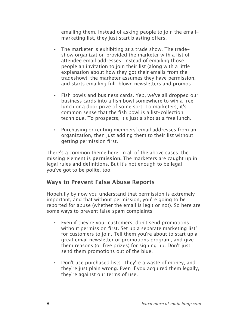emailing them. Instead of asking people to join the emailmarketing list, they just start blasting offers.

- The marketer is exhibiting at a trade show. The tradeshow organization provided the marketer with a list of attendee email addresses. Instead of emailing those people an invitation to join their list (along with a little explanation about how they got their emails from the tradeshow), the marketer assumes they have permission, and starts emailing full-blown newsletters and promos.
- Fish bowls and business cards. Yep, we've all dropped our business cards into a fish bowl somewhere to win a free lunch or a door prize of some sort. To marketers, it's common sense that the fish bowl is a list-collection technique. To prospects, it's just a shot at a free lunch.
- Purchasing or renting members' email addresses from an organization, then just adding them to their list without getting permission first.

There's a common theme here. In all of the above cases, the missing element is **permission.** The marketers are caught up in legal rules and definitions. But it's not enough to be legal you've got to be polite, too.

### **Ways to Prevent False Abuse Reports**

Hopefully by now you understand that permission is extremely important, and that without permission, you're going to be reported for abuse (whether the email is legit or not). So here are some ways to prevent false spam complaints:

- Even if they're your customers, don't send promotions without permission first. Set up a separate marketing list" for customers to join. Tell them you're about to start up a great email newsletter or promotions program, and give them reasons (or free prizes) for signing up. Don't just send them promotions out of the blue.
- Don't use purchased lists. They're a waste of money, and they're just plain wrong. Even if you acquired them legally, they're against our terms of use.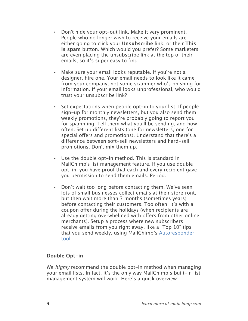- Don't hide your opt-out link. Make it very prominent. People who no longer wish to receive your emails are either going to click your **Unsubscribe** link, or their **This is spam** button. Which would you prefer? Some marketers are even placing the unsubscribe link at the top of their emails, so it's super easy to find.
- Make sure your email looks reputable. If you're not a designer, hire one. Your email needs to look like it came from your company, not some scammer who's phishing for information. If your email looks unprofessional, who would trust your unsubscribe link?
- Set expectations when people opt-in to your list. If people sign-up for monthly newsletters, but you also send them weekly promotions, they're probably going to report you for spamming. Tell them what you'll be sending, and how often. Set up different lists (one for newsletters, one for special offers and promotions). Understand that there's a difference between soft-sell newsletters and hard-sell promotions. Don't mix them up.
- Use the double opt-in method. This is standard in MailChimp's list management feature. If you use double opt-in, you have proof that each and every recipient gave you permission to send them emails. Period.
- Don't wait too long before contacting them. We've seen lots of small businesses collect emails at their storefront, but then wait more than 3 months (sometimes years) before contacting their customers. Too often, it's with a coupon offer during the holidays (when recipients are already getting overwhelmed with offers from other online merchants). Setup a process where new subscribers receive emails from you right away, like a "Top 10" tips that you send weekly, using MailChimp's [Autoresponder](http://www.mailchimp.com/features/power_features/autoresponders)  [tool.](http://www.mailchimp.com/features/power_features/autoresponders)

### **Double Opt-in**

We *highly* recommend the double opt-in method when managing your email lists. In fact, it's the only way MailChimp's built-in list management system will work. Here's a quick overview: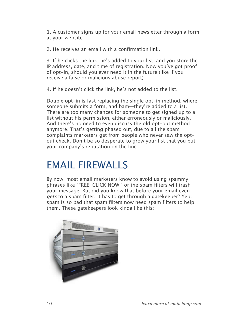1. A customer signs up for your email newsletter through a form at your website.

2. He receives an email with a confirmation link.

3. If he clicks the link, he's added to your list, and you store the IP address, date, and time of registration. Now you've got proof of opt-in, should you ever need it in the future (like if you receive a false or malicious abuse report).

4. If he doesn't click the link, he's not added to the list.

Double opt-in is fast replacing the single opt-in method, where someone submits a form, and bam—they're added to a list. There are too many chances for someone to get signed up to a list without his permission, either erroneously or maliciously. And there's no need to even discuss the old opt-out method anymore. That's getting phased out, due to all the spam complaints marketers get from people who never saw the optout check. Don't be so desperate to grow your list that you put your company's reputation on the line.

# EMAIL FIREWALLS

By now, most email marketers know to avoid using spammy phrases like "FREE! CLICK NOW!" or the spam filters will trash your message. But did you know that before your email even gets to a spam filter, it has to get through a gatekeeper? Yep, spam is so bad that spam filters now need spam filters to help them. These gatekeepers look kinda like this:

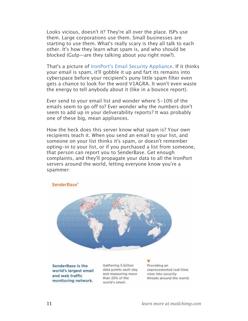Looks vicious, doesn't it? They're all over the place. ISPs use them. Large corporations use them. Small businesses are starting to use them. What's really scary is they all talk to each other. It's how they learn what spam is, and who should be blocked (Gulp—are they talking about you right now?).

That's a picture of [IronPort's Email Security Appliance.](http://www.ironport.com/products/how_it_works.html) If it thinks your email is spam, it'll gobble it up and fart its remains into cyberspace before your recipient's puny little spam filter even gets a chance to look for the word V1AGRA. It won't even waste the energy to tell anybody about it (like in a bounce report).

Ever send to your email list and wonder where 5-10% of the emails seem to go off to? Ever wonder why the numbers don't seem to add up in your deliverability reports? It was probably one of these big, mean appliances.

How the heck does this server know what spam is? Your own recipients teach it. When you send an email to your list, and someone on your list thinks it's spam, or doesn't remember opting-in to your list, or if you purchased a list from someone, that person can report you to SenderBase. Get enough complaints, and they'll propagate your data to all the IronPort servers around the world, letting everyone know you're a spammer:

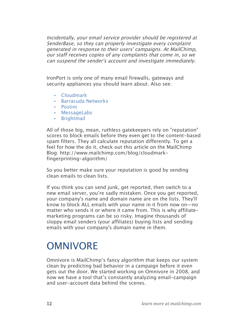Incidentally, your email service provider should be registered at SenderBase, so they can properly investigate every complaint generated in response to their users' campaigns. At MailChimp, our staff receives copies of any complaints that come in, so we can suspend the sender's account and investigate immediately.

IronPort is only one of many email firewalls, gateways and security appliances you should learn about. Also see:

- [Cloudmark](http://www.cloudmark.com/en/home.html)
- [Barracuda Networks](http://www.barracudanetworks.com/ns/?L=en)
- [Postini](http://www.google.com/postini/email.html#utm_campaign=en&utm_source=en-ha-na-us-bk&utm_medium=ha&utm_term=postini)
- [MessageLabs](http://www.messagelabs.com/)
- [Brightmail](http://www.symantec.com/business/products/family.jsp?familyid=brightmail)

All of those big, mean, ruthless gatekeepers rely on "reputation" scores to block emails before they even get to the content-based spam filters. They all calculate reputation differently. To get a feel for how the do it, check out this article on the MailChimp Blog: http://www.mailchimp.com/blog/cloudmarkfingerprinting-algorithm/

So you better make sure your reputation is good by sending clean emails to clean lists.

If you think you can send junk, get reported, then switch to a new email server, you're sadly mistaken. Once you get reported, your company's name and domain name are on the lists. They'll know to block ALL emails with your name in it from now on—no matter who sends it or where it came from. This is why affiliatemarketing programs can be so risky. Imagine thousands of sloppy email senders (your affiliates) buying lists and sending emails with your company's domain name in them.

# **OMNIVORE**

Omnivore is MailChimp's fancy algorithm that keeps our system clean by predicting bad behavior in a campaign before it even gets out the door. We started working on Omnivore in 2008, and now we have a tool that's constantly analyzing email-campaign and user-account data behind the scenes.